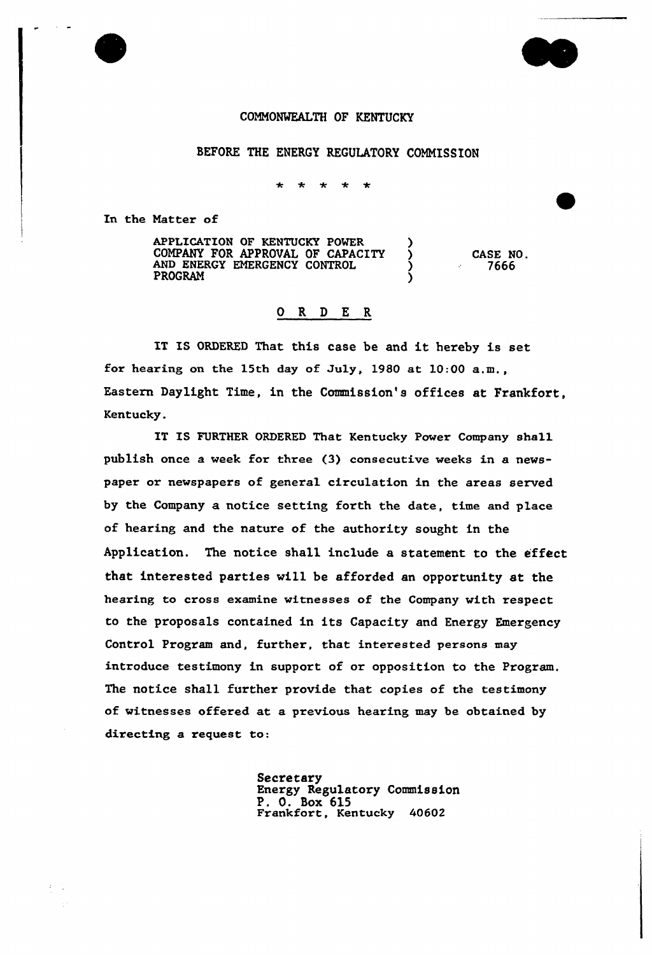

BEFORE THE ENERGY REGULATORY COMMISSION

 $\star$  $\star$ 

In the Matter of

APPLICATION OF KENTUCKY POWER ) COMPANY FOR APPROVAL OF CAPACITY ) AND ENERGY EMERGENCY CONTROL ( **PROGRAM** CASE NO. 7666

## 0 R <sup>D</sup> E R

IT IS ORDERED That this case be and it hereby is set for hearing on the 15th day of July, 1980 at 10:00 a.m., Eastern Daylight Time, in the Commission's offices at Frankfort, Kentucky.

IT IS FURTHER ORDERED That Kentucky Power Company shall publish once a week for three (3) consecutive weeks in a newspaper or newspapers of general circulation in the areas served by the Company a notice setting forth the date, time and place of hearing and the nature of the authority sought in the Application. The notice shall include a statement to the effect that interested parties will be afforded an opportunity at the hearing to cross examine witnesses of the Company with respect to the proposals contained in its Capacity and Energy Emergency Control Program and, further, that interested persons may introduce testimony in support of or opposition to the Program. The notice shall further provide that copies of the testimony of witnesses offered at a previous hearing may be obtained by directing a request to:

> Secretary Energy Regulatory Commission P. 0. Box 6l5 Frankfort, Kentucky <sup>40602</sup>